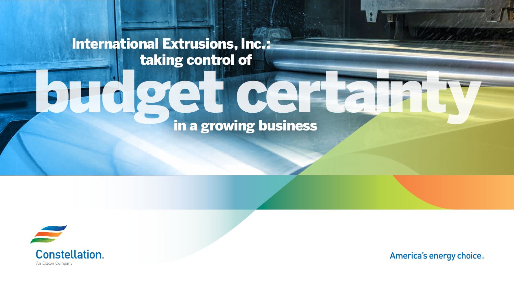## International Extrusions, Inc.: taking control of

## **budget certain**<br>in a growing business



**Constellation.** An Exelon Company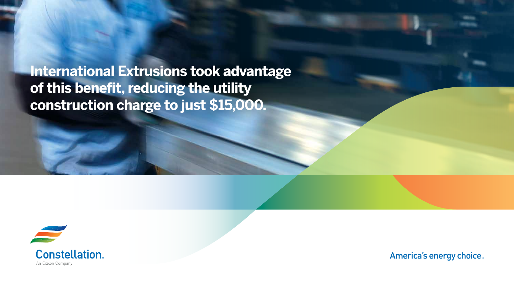**International Extrusions took advantage of this benefit, reducing the utility construction charge to just \$15,000.** 



**Constellation.** An Exelon Company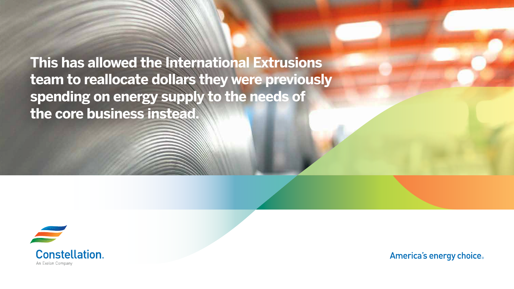**This has allowed the International Extrusions team to reallocate dollars they were previously spending on energy supply to the needs of the core business instead.** 



**Constellation.** An Exelon Company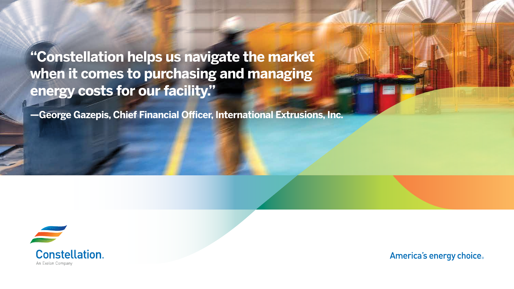**"Constellation helps us navigate the market when it comes to purchasing and managing energy costs for our facility."** 

**—George Gazepis, Chief Financial Officer, International Extrusions, Inc.** 



**Constellation** An Exelon Company